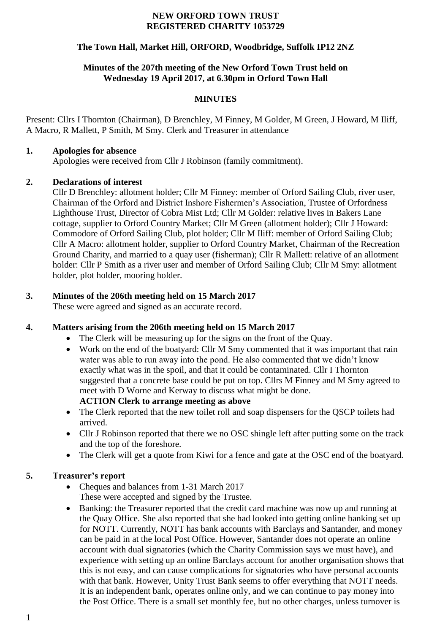#### **NEW ORFORD TOWN TRUST REGISTERED CHARITY 1053729**

### **The Town Hall, Market Hill, ORFORD, Woodbridge, Suffolk IP12 2NZ**

### **Minutes of the 207th meeting of the New Orford Town Trust held on Wednesday 19 April 2017, at 6.30pm in Orford Town Hall**

### **MINUTES**

Present: Cllrs I Thornton (Chairman), D Brenchley, M Finney, M Golder, M Green, J Howard, M Iliff, A Macro, R Mallett, P Smith, M Smy. Clerk and Treasurer in attendance

### **1. Apologies for absence**

Apologies were received from Cllr J Robinson (family commitment).

### **2. Declarations of interest**

Cllr D Brenchley: allotment holder; Cllr M Finney: member of Orford Sailing Club, river user, Chairman of the Orford and District Inshore Fishermen's Association, Trustee of Orfordness Lighthouse Trust, Director of Cobra Mist Ltd; Cllr M Golder: relative lives in Bakers Lane cottage, supplier to Orford Country Market; Cllr M Green (allotment holder); Cllr J Howard: Commodore of Orford Sailing Club, plot holder; Cllr M Iliff: member of Orford Sailing Club; Cllr A Macro: allotment holder, supplier to Orford Country Market, Chairman of the Recreation Ground Charity, and married to a quay user (fisherman); Cllr R Mallett: relative of an allotment holder: Cllr P Smith as a river user and member of Orford Sailing Club; Cllr M Smy: allotment holder, plot holder, mooring holder.

### **3. Minutes of the 206th meeting held on 15 March 2017**

These were agreed and signed as an accurate record.

# **4. Matters arising from the 206th meeting held on 15 March 2017**

- The Clerk will be measuring up for the signs on the front of the Quay.
- Work on the end of the boatyard: Cllr M Smy commented that it was important that rain water was able to run away into the pond. He also commented that we didn't know exactly what was in the spoil, and that it could be contaminated. Cllr I Thornton suggested that a concrete base could be put on top. Cllrs M Finney and M Smy agreed to meet with D Worne and Kerway to discuss what might be done.

## **ACTION Clerk to arrange meeting as above**

- The Clerk reported that the new toilet roll and soap dispensers for the QSCP toilets had arrived.
- Cllr J Robinson reported that there we no OSC shingle left after putting some on the track and the top of the foreshore.
- The Clerk will get a quote from Kiwi for a fence and gate at the OSC end of the boatyard.

# **5. Treasurer's report**

- Cheques and balances from 1-31 March 2017 These were accepted and signed by the Trustee.
- Banking: the Treasurer reported that the credit card machine was now up and running at the Quay Office. She also reported that she had looked into getting online banking set up for NOTT. Currently, NOTT has bank accounts with Barclays and Santander, and money can be paid in at the local Post Office. However, Santander does not operate an online account with dual signatories (which the Charity Commission says we must have), and experience with setting up an online Barclays account for another organisation shows that this is not easy, and can cause complications for signatories who have personal accounts with that bank. However, Unity Trust Bank seems to offer everything that NOTT needs. It is an independent bank, operates online only, and we can continue to pay money into the Post Office. There is a small set monthly fee, but no other charges, unless turnover is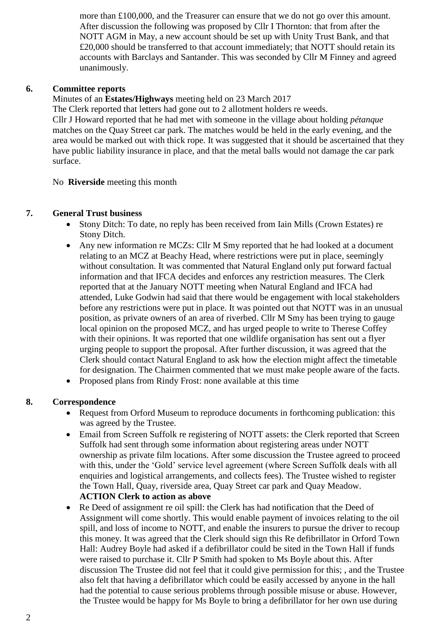more than £100,000, and the Treasurer can ensure that we do not go over this amount. After discussion the following was proposed by Cllr I Thornton: that from after the NOTT AGM in May, a new account should be set up with Unity Trust Bank, and that £20,000 should be transferred to that account immediately; that NOTT should retain its accounts with Barclays and Santander. This was seconded by Cllr M Finney and agreed unanimously.

## **6. Committee reports**

Minutes of an **Estates/Highways** meeting held on 23 March 2017

The Clerk reported that letters had gone out to 2 allotment holders re weeds. Cllr J Howard reported that he had met with someone in the village about holding *pétanque* matches on the Quay Street car park. The matches would be held in the early evening, and the area would be marked out with thick rope. It was suggested that it should be ascertained that they have public liability insurance in place, and that the metal balls would not damage the car park surface.

No **Riverside** meeting this month

### **7. General Trust business**

- Stony Ditch: To date, no reply has been received from Iain Mills (Crown Estates) re Stony Ditch.
- Any new information re MCZs: Cllr M Smy reported that he had looked at a document relating to an MCZ at Beachy Head, where restrictions were put in place, seemingly without consultation. It was commented that Natural England only put forward factual information and that IFCA decides and enforces any restriction measures. The Clerk reported that at the January NOTT meeting when Natural England and IFCA had attended, Luke Godwin had said that there would be engagement with local stakeholders before any restrictions were put in place. It was pointed out that NOTT was in an unusual position, as private owners of an area of riverbed. Cllr M Smy has been trying to gauge local opinion on the proposed MCZ, and has urged people to write to Therese Coffey with their opinions. It was reported that one wildlife organisation has sent out a flyer urging people to support the proposal. After further discussion, it was agreed that the Clerk should contact Natural England to ask how the election might affect the timetable for designation. The Chairmen commented that we must make people aware of the facts.
- Proposed plans from Rindy Frost: none available at this time

### **8. Correspondence**

- Request from Orford Museum to reproduce documents in forthcoming publication: this was agreed by the Trustee.
- Email from Screen Suffolk re registering of NOTT assets: the Clerk reported that Screen Suffolk had sent through some information about registering areas under NOTT ownership as private film locations. After some discussion the Trustee agreed to proceed with this, under the 'Gold' service level agreement (where Screen Suffolk deals with all enquiries and logistical arrangements, and collects fees). The Trustee wished to register the Town Hall, Quay, riverside area, Quay Street car park and Quay Meadow. **ACTION Clerk to action as above**
- Re Deed of assignment re oil spill: the Clerk has had notification that the Deed of Assignment will come shortly. This would enable payment of invoices relating to the oil spill, and loss of income to NOTT, and enable the insurers to pursue the driver to recoup this money. It was agreed that the Clerk should sign this Re defibrillator in Orford Town Hall: Audrey Boyle had asked if a defibrillator could be sited in the Town Hall if funds were raised to purchase it. Cllr P Smith had spoken to Ms Boyle about this. After discussion The Trustee did not feel that it could give permission for this; , and the Trustee also felt that having a defibrillator which could be easily accessed by anyone in the hall had the potential to cause serious problems through possible misuse or abuse. However, the Trustee would be happy for Ms Boyle to bring a defibrillator for her own use during